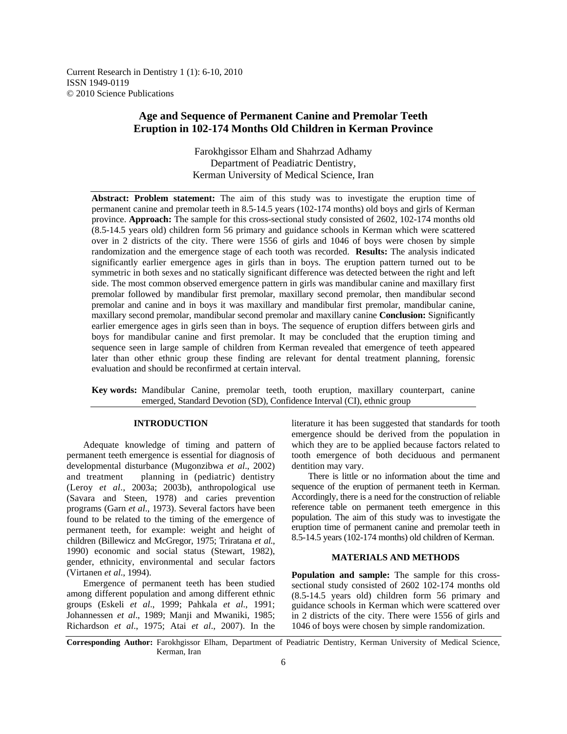Current Research in Dentistry 1 (1): 6-10, 2010 ISSN 1949-0119 © 2010 Science Publications

# **Age and Sequence of Permanent Canine and Premolar Teeth Eruption in 102-174 Months Old Children in Kerman Province**

Farokhgissor Elham and Shahrzad Adhamy Department of Peadiatric Dentistry, Kerman University of Medical Science, Iran

**Abstract: Problem statement:** The aim of this study was to investigate the eruption time of permanent canine and premolar teeth in 8.5-14.5 years (102-174 months) old boys and girls of Kerman province. **Approach:** The sample for this cross-sectional study consisted of 2602, 102-174 months old (8.5-14.5 years old) children form 56 primary and guidance schools in Kerman which were scattered over in 2 districts of the city. There were 1556 of girls and 1046 of boys were chosen by simple randomization and the emergence stage of each tooth was recorded. **Results:** The analysis indicated significantly earlier emergence ages in girls than in boys. The eruption pattern turned out to be symmetric in both sexes and no statically significant difference was detected between the right and left side. The most common observed emergence pattern in girls was mandibular canine and maxillary first premolar followed by mandibular first premolar, maxillary second premolar, then mandibular second premolar and canine and in boys it was maxillary and mandibular first premolar, mandibular canine, maxillary second premolar, mandibular second premolar and maxillary canine **Conclusion:** Significantly earlier emergence ages in girls seen than in boys. The sequence of eruption differs between girls and boys for mandibular canine and first premolar. It may be concluded that the eruption timing and sequence seen in large sample of children from Kerman revealed that emergence of teeth appeared later than other ethnic group these finding are relevant for dental treatment planning, forensic evaluation and should be reconfirmed at certain interval.

**Key words:** Mandibular Canine, premolar teeth, tooth eruption, maxillary counterpart, canine emerged, Standard Devotion (SD), Confidence Interval (CI), ethnic group

## **INTRODUCTION**

 Adequate knowledge of timing and pattern of permanent teeth emergence is essential for diagnosis of developmental disturbance (Mugonzibwa *et al*., 2002) and treatment planning in (pediatric) dentistry (Leroy *et al*., 2003a; 2003b), anthropological use (Savara and Steen, 1978) and caries prevention programs (Garn *et al*., 1973). Several factors have been found to be related to the timing of the emergence of permanent teeth, for example: weight and height of children (Billewicz and McGregor, 1975; Triratana *et al*., 1990) economic and social status (Stewart, 1982), gender, ethnicity, environmental and secular factors (Virtanen *et al*., 1994).

 Emergence of permanent teeth has been studied among different population and among different ethnic groups (Eskeli *et al*., 1999; Pahkala *et al*., 1991; Johannessen *et al*., 1989; Manji and Mwaniki, 1985; Richardson *et al*., 1975; Atai *et al*., 2007). In the literature it has been suggested that standards for tooth emergence should be derived from the population in which they are to be applied because factors related to tooth emergence of both deciduous and permanent dentition may vary.

 There is little or no information about the time and sequence of the eruption of permanent teeth in Kerman. Accordingly, there is a need for the construction of reliable reference table on permanent teeth emergence in this population. The aim of this study was to investigate the eruption time of permanent canine and premolar teeth in 8.5-14.5 years (102-174 months) old children of Kerman.

#### **MATERIALS AND METHODS**

**Population and sample:** The sample for this crosssectional study consisted of 2602 102-174 months old (8.5-14.5 years old) children form 56 primary and guidance schools in Kerman which were scattered over in 2 districts of the city. There were 1556 of girls and 1046 of boys were chosen by simple randomization.

**Corresponding Author:** Farokhgissor Elham, Department of Peadiatric Dentistry, Kerman University of Medical Science, Kerman, Iran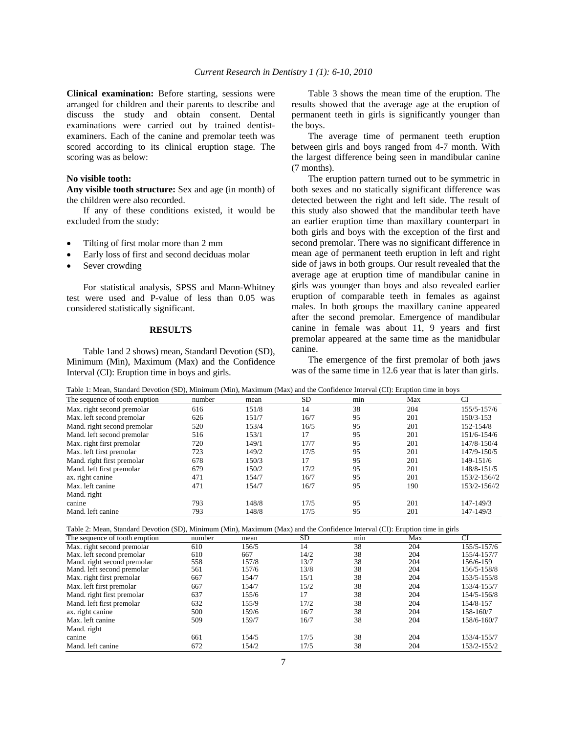**Clinical examination:** Before starting, sessions were arranged for children and their parents to describe and discuss the study and obtain consent. Dental examinations were carried out by trained dentistexaminers. Each of the canine and premolar teeth was scored according to its clinical eruption stage. The scoring was as below:

#### **No visible tooth:**

**Any visible tooth structure:** Sex and age (in month) of the children were also recorded.

 If any of these conditions existed, it would be excluded from the study:

- Tilting of first molar more than 2 mm
- Early loss of first and second deciduas molar
- Sever crowding

 For statistical analysis, SPSS and Mann-Whitney test were used and P-value of less than 0.05 was considered statistically significant.

#### **RESULTS**

 Table 1and 2 shows) mean, Standard Devotion (SD), Minimum (Min), Maximum (Max) and the Confidence Interval (CI): Eruption time in boys and girls.

 Table 3 shows the mean time of the eruption. The results showed that the average age at the eruption of permanent teeth in girls is significantly younger than the boys.

 The average time of permanent teeth eruption between girls and boys ranged from 4-7 month. With the largest difference being seen in mandibular canine (7 months).

 The eruption pattern turned out to be symmetric in both sexes and no statically significant difference was detected between the right and left side. The result of this study also showed that the mandibular teeth have an earlier eruption time than maxillary counterpart in both girls and boys with the exception of the first and second premolar. There was no significant difference in mean age of permanent teeth eruption in left and right side of jaws in both groups. Our result revealed that the average age at eruption time of mandibular canine in girls was younger than boys and also revealed earlier eruption of comparable teeth in females as against males. In both groups the maxillary canine appeared after the second premolar. Emergence of mandibular canine in female was about 11, 9 years and first premolar appeared at the same time as the manidbular canine.

 The emergence of the first premolar of both jaws was of the same time in 12.6 year that is later than girls.

| number | mean  | SD.  | min | Max | <b>CI</b>                                                                                                                                                                                                                            |
|--------|-------|------|-----|-----|--------------------------------------------------------------------------------------------------------------------------------------------------------------------------------------------------------------------------------------|
| 616    | 151/8 | 14   | 38  | 204 | 155/5-157/6                                                                                                                                                                                                                          |
| 626    | 151/7 | 16/7 | 95  | 201 | 150/3-153                                                                                                                                                                                                                            |
| 520    | 153/4 | 16/5 | 95  | 201 | 152-154/8                                                                                                                                                                                                                            |
| 516    | 153/1 | 17   | 95  | 201 | 151/6-154/6                                                                                                                                                                                                                          |
| 720    | 149/1 | 17/7 | 95  | 201 | 147/8-150/4                                                                                                                                                                                                                          |
| 723    | 149/2 | 17/5 | 95  | 201 | 147/9-150/5                                                                                                                                                                                                                          |
| 678    | 150/3 | 17   | 95  | 201 | 149-151/6                                                                                                                                                                                                                            |
| 679    | 150/2 | 17/2 | 95  | 201 | 148/8-151/5                                                                                                                                                                                                                          |
| 471    | 154/7 | 16/7 | 95  | 201 | 153/2-156//2                                                                                                                                                                                                                         |
| 471    | 154/7 | 16/7 | 95  | 190 | 153/2-156//2                                                                                                                                                                                                                         |
|        |       |      |     |     |                                                                                                                                                                                                                                      |
| 793    | 148/8 | 17/5 | 95  | 201 | 147-149/3                                                                                                                                                                                                                            |
| 793    | 148/8 | 17/5 | 95  | 201 | 147-149/3                                                                                                                                                                                                                            |
|        |       |      |     |     | <u> 1980 - 1980 - 1980 - 1980 - 1980 - 1980 - 1980 - 1980 - 1980 - 1980 - 1980 - 1980 - 1980 - 1980 - 1980 - 1980 - 1980 - 1980 - 1980 - 1980 - 1980 - 1980 - 1980 - 1980 - 1980 - 1980 - 1980 - 1980 - 1980 - 1980 - 1980 - 198</u> |

Table 1: Mean, Standard Devotion (SD), Minimum (Min), Maximum (Max) and the Confidence Interval (CI): Eruption time in boys

Table 2: Mean, Standard Devotion (SD), Minimum (Min), Maximum (Max) and the Confidence Interval (CI): Eruption time in girls

| The sequence of tooth eruption | number | mean  | SD   | min | Max | CI          |
|--------------------------------|--------|-------|------|-----|-----|-------------|
| Max. right second premolar     | 610    | 156/5 | 14   | 38  | 204 | 155/5-157/6 |
| Max. left second premolar      | 610    | 667   | 14/2 | 38  | 204 | 155/4-157/7 |
| Mand. right second premolar    | 558    | 157/8 | 13/7 | 38  | 204 | 156/6-159   |
| Mand. left second premolar     | 561    | 157/6 | 13/8 | 38  | 204 | 156/5-158/8 |
| Max. right first premolar      | 667    | 154/7 | 15/1 | 38  | 204 | 153/5-155/8 |
| Max. left first premolar       | 667    | 154/7 | 15/2 | 38  | 204 | 153/4-155/7 |
| Mand. right first premolar     | 637    | 155/6 | 17   | 38  | 204 | 154/5-156/8 |
| Mand. left first premolar      | 632    | 155/9 | 17/2 | 38  | 204 | 154/8-157   |
| ax. right canine               | 500    | 159/6 | 16/7 | 38  | 204 | 158-160/7   |
| Max. left canine               | 509    | 159/7 | 16/7 | 38  | 204 | 158/6-160/7 |
| Mand. right                    |        |       |      |     |     |             |
| canine                         | 661    | 154/5 | 17/5 | 38  | 204 | 153/4-155/7 |
| Mand, left canine              | 672    | 154/2 | 17/5 | 38  | 204 | 153/2-155/2 |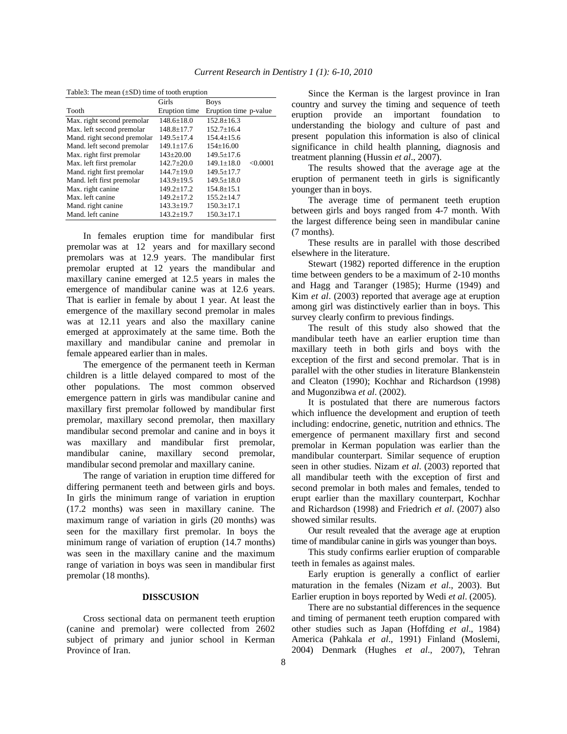| Table 3: The mean $(\pm SD)$ time of tooth eruption |  |  |  |
|-----------------------------------------------------|--|--|--|
|-----------------------------------------------------|--|--|--|

| Girls            | <b>Boys</b>                  |  |  |  |  |
|------------------|------------------------------|--|--|--|--|
| Eruption time    | Eruption time p-value        |  |  |  |  |
| $148.6 + 18.0$   | $152.8 \pm 16.3$             |  |  |  |  |
| $148.8 \pm 17.7$ | $152.7 \pm 16.4$             |  |  |  |  |
| $149.5 + 17.4$   | $154.4 + 15.6$               |  |  |  |  |
| $149.1 \pm 17.6$ | $154 \pm 16.00$              |  |  |  |  |
| $143 \pm 20.00$  | $149.5 \pm 17.6$             |  |  |  |  |
| $142.7+20.0$     | < 0.0001<br>$149.1 \pm 18.0$ |  |  |  |  |
| $144.7 \pm 19.0$ | $149.5 \pm 17.7$             |  |  |  |  |
| $143.9 \pm 19.5$ | $149.5 \pm 18.0$             |  |  |  |  |
| $149.2 \pm 17.2$ | $154.8 \pm 15.1$             |  |  |  |  |
| $149.2 \pm 17.2$ | $155.2 \pm 14.7$             |  |  |  |  |
| $143.3 \pm 19.7$ | $150.3 \pm 17.1$             |  |  |  |  |
| $143.2 \pm 19.7$ | $150.3 \pm 17.1$             |  |  |  |  |
|                  |                              |  |  |  |  |

 In females eruption time for mandibular first premolar was at 12 years and for maxillary second premolars was at 12.9 years. The mandibular first premolar erupted at 12 years the mandibular and maxillary canine emerged at 12.5 years in males the emergence of mandibular canine was at 12.6 years. That is earlier in female by about 1 year. At least the emergence of the maxillary second premolar in males was at 12.11 years and also the maxillary canine emerged at approximately at the same time. Both the maxillary and mandibular canine and premolar in female appeared earlier than in males.

 The emergence of the permanent teeth in Kerman children is a little delayed compared to most of the other populations. The most common observed emergence pattern in girls was mandibular canine and maxillary first premolar followed by mandibular first premolar, maxillary second premolar, then maxillary mandibular second premolar and canine and in boys it was maxillary and mandibular first premolar, mandibular canine, maxillary second premolar, mandibular second premolar and maxillary canine.

 The range of variation in eruption time differed for differing permanent teeth and between girls and boys. In girls the minimum range of variation in eruption (17.2 months) was seen in maxillary canine. The maximum range of variation in girls (20 months) was seen for the maxillary first premolar. In boys the minimum range of variation of eruption (14.7 months) was seen in the maxillary canine and the maximum range of variation in boys was seen in mandibular first premolar (18 months).

## **DISSCUSION**

 Cross sectional data on permanent teeth eruption (canine and premolar) were collected from 2602 subject of primary and junior school in Kerman Province of Iran.

 Since the Kerman is the largest province in Iran country and survey the timing and sequence of teeth eruption provide an important foundation to understanding the biology and culture of past and present population this information is also of clinical significance in child health planning, diagnosis and treatment planning (Hussin *et al*., 2007).

 The results showed that the average age at the eruption of permanent teeth in girls is significantly younger than in boys.

 The average time of permanent teeth eruption between girls and boys ranged from 4-7 month. With the largest difference being seen in mandibular canine (7 months).

 These results are in parallel with those described elsewhere in the literature.

 Stewart (1982) reported difference in the eruption time between genders to be a maximum of 2-10 months and Hagg and Taranger (1985); Hurme (1949) and Kim *et al*. (2003) reported that average age at eruption among girl was distinctively earlier than in boys. This survey clearly confirm to previous findings.

 The result of this study also showed that the mandibular teeth have an earlier eruption time than maxillary teeth in both girls and boys with the exception of the first and second premolar. That is in parallel with the other studies in literature Blankenstein and Cleaton (1990); Kochhar and Richardson (1998) and Mugonzibwa *et al*. (2002).

 It is postulated that there are numerous factors which influence the development and eruption of teeth including: endocrine, genetic, nutrition and ethnics. The emergence of permanent maxillary first and second premolar in Kerman population was earlier than the mandibular counterpart. Similar sequence of eruption seen in other studies. Nizam *et al*. (2003) reported that all mandibular teeth with the exception of first and second premolar in both males and females, tended to erupt earlier than the maxillary counterpart, Kochhar and Richardson (1998) and Friedrich *et al*. (2007) also showed similar results.

 Our result revealed that the average age at eruption time of mandibular canine in girls was younger than boys.

 This study confirms earlier eruption of comparable teeth in females as against males.

 Early eruption is generally a conflict of earlier maturation in the females (Nizam *et al*., 2003). But Earlier eruption in boys reported by Wedi *et al*. (2005).

 There are no substantial differences in the sequence and timing of permanent teeth eruption compared with other studies such as Japan (Hoffding *et al*., 1984) America (Pahkala *et al*., 1991) Finland (Moslemi, 2004) Denmark (Hughes *et al*., 2007), Tehran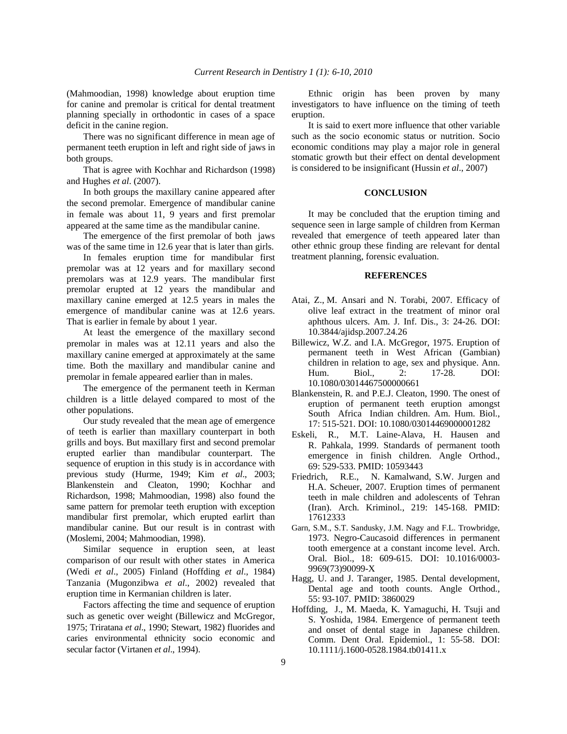(Mahmoodian, 1998) knowledge about eruption time for canine and premolar is critical for dental treatment planning specially in orthodontic in cases of a space deficit in the canine region.

 There was no significant difference in mean age of permanent teeth eruption in left and right side of jaws in both groups.

 That is agree with Kochhar and Richardson (1998) and Hughes *et al*. (2007).

 In both groups the maxillary canine appeared after the second premolar. Emergence of mandibular canine in female was about 11, 9 years and first premolar appeared at the same time as the mandibular canine.

 The emergence of the first premolar of both jaws was of the same time in 12.6 year that is later than girls.

 In females eruption time for mandibular first premolar was at 12 years and for maxillary second premolars was at 12.9 years. The mandibular first premolar erupted at 12 years the mandibular and maxillary canine emerged at 12.5 years in males the emergence of mandibular canine was at 12.6 years. That is earlier in female by about 1 year.

 At least the emergence of the maxillary second premolar in males was at 12.11 years and also the maxillary canine emerged at approximately at the same time. Both the maxillary and mandibular canine and premolar in female appeared earlier than in males.

 The emergence of the permanent teeth in Kerman children is a little delayed compared to most of the other populations.

 Our study revealed that the mean age of emergence of teeth is earlier than maxillary counterpart in both grills and boys. But maxillary first and second premolar erupted earlier than mandibular counterpart. The sequence of eruption in this study is in accordance with previous study (Hurme, 1949; Kim *et al*., 2003; Blankenstein and Cleaton, 1990; Kochhar and Richardson, 1998; Mahmoodian, 1998) also found the same pattern for premolar teeth eruption with exception mandibular first premolar, which erupted earlirt than mandibular canine. But our result is in contrast with (Moslemi, 2004; Mahmoodian, 1998).

 Similar sequence in eruption seen, at least comparison of our result with other states in America (Wedi *et al*., 2005) Finland (Hoffding *et al*., 1984) Tanzania (Mugonzibwa *et al*., 2002) revealed that eruption time in Kermanian children is later.

 Factors affecting the time and sequence of eruption such as genetic over weight (Billewicz and McGregor, 1975; Triratana *et al*., 1990; Stewart, 1982) fluorides and caries environmental ethnicity socio economic and secular factor (Virtanen *et al*., 1994).

 Ethnic origin has been proven by many investigators to have influence on the timing of teeth eruption.

 It is said to exert more influence that other variable such as the socio economic status or nutrition. Socio economic conditions may play a major role in general stomatic growth but their effect on dental development is considered to be insignificant (Hussin *et al*., 2007)

## **CONCLUSION**

 It may be concluded that the eruption timing and sequence seen in large sample of children from Kerman revealed that emergence of teeth appeared later than other ethnic group these finding are relevant for dental treatment planning, forensic evaluation.

### **REFERENCES**

- Atai, Z., M. Ansari and N. Torabi, 2007. Efficacy of olive leaf extract in the treatment of minor oral aphthous ulcers. Am. J. Inf. Dis., 3: 24-26. DOI: 10.3844/ajidsp.2007.24.26
- Billewicz, W.Z. and I.A. McGregor, 1975. Eruption of permanent teeth in West African (Gambian) children in relation to age, sex and physique. Ann. Hum. Biol., 2: 17-28. DOI: 10.1080/03014467500000661
- Blankenstein, R. and P.E.J. Cleaton, 1990. The onest of eruption of permanent teeth eruption amongst South Africa Indian children. Am. Hum. Biol., 17: 515-521. DOI: 10.1080/03014469000001282
- Eskeli, R., M.T. Laine-Alava, H. Hausen and R. Pahkala, 1999. Standards of permanent tooth emergence in finish children. Angle Orthod., 69: 529-533. PMID: 10593443
- Friedrich, R.E., N. Kamalwand, S.W. Jurgen and H.A. Scheuer, 2007. Eruption times of permanent teeth in male children and adolescents of Tehran (Iran). Arch. Kriminol., 219: 145-168. PMID: 17612333
- Garn, S.M., S.T. Sandusky, J.M. Nagy and F.L. Trowbridge, 1973. Negro-Caucasoid differences in permanent tooth emergence at a constant income level. Arch. Oral. Biol., 18: 609-615. DOI: 10.1016/0003- 9969(73)90099-X
- Hagg, U. and J. Taranger, 1985. Dental development, Dental age and tooth counts. Angle Orthod., 55: 93-107. PMID: 3860029
- Hoffding, J., M. Maeda, K. Yamaguchi, H. Tsuji and S. Yoshida, 1984. Emergence of permanent teeth and onset of dental stage in Japanese children. Comm. Dent Oral. Epidemiol., 1: 55-58. DOI: 10.1111/j.1600-0528.1984.tb01411.x